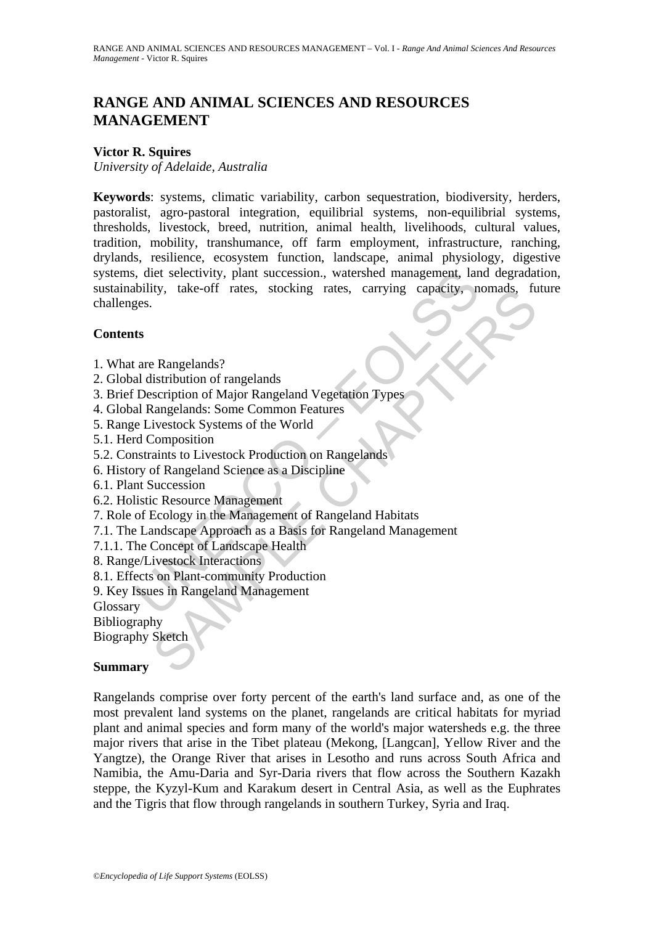# **RANGE AND ANIMAL SCIENCES AND RESOURCES MANAGEMENT**

## **Victor R. Squires**

*University of Adelaide, Australia* 

representingly, plant succession., watershed management, lare<br>bility, take-off rates, stocking rates, carrying capacity, n<br>ges.<br><br>**ts**<br>are Rangelands?<br>all distribution of rangelands<br>Description of Major Rangeland Vegetation The Rangelands?<br>
Sample Transis, stocking Trans, carrying capacity, nomadas, rue<br>
Sample Institution of Major Rangeland Vegetation Types<br>
Sample Institutes Chapter Chapter is the World<br>
Composition<br>
Sample Institute Chapte **Keywords**: systems, climatic variability, carbon sequestration, biodiversity, herders, pastoralist, agro-pastoral integration, equilibrial systems, non-equilibrial systems, thresholds, livestock, breed, nutrition, animal health, livelihoods, cultural values, tradition, mobility, transhumance, off farm employment, infrastructure, ranching, drylands, resilience, ecosystem function, landscape, animal physiology, digestive systems, diet selectivity, plant succession., watershed management, land degradation, sustainability, take-off rates, stocking rates, carrying capacity, nomads, future challenges.

#### **Contents**

- 1. What are Rangelands?
- 2. Global distribution of rangelands
- 3. Brief Description of Major Rangeland Vegetation Types
- 4. Global Rangelands: Some Common Features
- 5. Range Livestock Systems of the World
- 5.1. Herd Composition
- 5.2. Constraints to Livestock Production on Rangelands
- 6. History of Rangeland Science as a Discipline
- 6.1. Plant Succession
- 6.2. Holistic Resource Management
- 7. Role of Ecology in the Management of Rangeland Habitats
- 7.1. The Landscape Approach as a Basis for Rangeland Management
- 7.1.1. The Concept of Landscape Health
- 8. Range/Livestock Interactions
- 8.1. Effects on Plant-community Production
- 9. Key Issues in Rangeland Management

Glossary

Bibliography

Biography Sketch

#### **Summary**

Rangelands comprise over forty percent of the earth's land surface and, as one of the most prevalent land systems on the planet, rangelands are critical habitats for myriad plant and animal species and form many of the world's major watersheds e.g. the three major rivers that arise in the Tibet plateau (Mekong, [Langcan], Yellow River and the Yangtze), the Orange River that arises in Lesotho and runs across South Africa and Namibia, the Amu-Daria and Syr-Daria rivers that flow across the Southern Kazakh steppe, the Kyzyl-Kum and Karakum desert in Central Asia, as well as the Euphrates and the Tigris that flow through rangelands in southern Turkey, Syria and Iraq.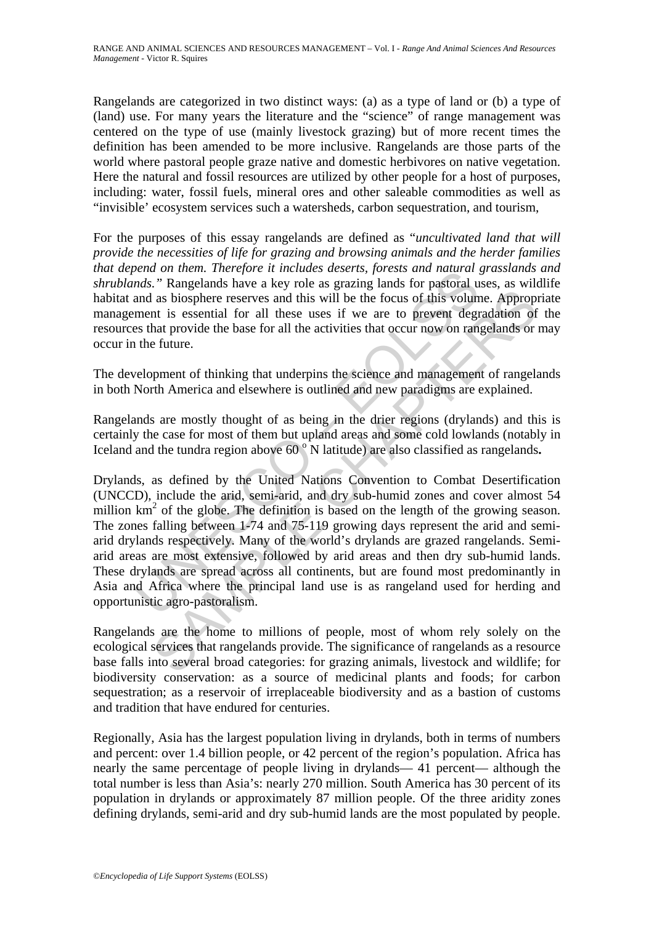Rangelands are categorized in two distinct ways: (a) as a type of land or (b) a type of (land) use. For many years the literature and the "science" of range management was centered on the type of use (mainly livestock grazing) but of more recent times the definition has been amended to be more inclusive. Rangelands are those parts of the world where pastoral people graze native and domestic herbivores on native vegetation. Here the natural and fossil resources are utilized by other people for a host of purposes, including: water, fossil fuels, mineral ores and other saleable commodities as well as "invisible' ecosystem services such a watersheds, carbon sequestration, and tourism,

For the purposes of this essay rangelands are defined as "*uncultivated land that will provide the necessities of life for grazing and browsing animals and the herder families that depend on them. Therefore it includes deserts, forests and natural grasslands and shrublands."* Rangelands have a key role as grazing lands for pastoral uses, as wildlife habitat and as biosphere reserves and this will be the focus of this volume. Appropriate management is essential for all these uses if we are to prevent degradation of the resources that provide the base for all the activities that occur now on rangelands or may occur in the future.

The development of thinking that underpins the science and management of rangelands in both North America and elsewhere is outlined and new paradigms are explained.

Rangelands are mostly thought of as being in the drier regions (drylands) and this is certainly the case for most of them but upland areas and some cold lowlands (notably in Iceland and the tundra region above 60<sup>°</sup>N latitude) are also classified as rangelands.

betation interfering the intriduces desearts, jores is and natural exacts and natural and as biosphere reserves and this will be the focus of this volument is essential for all these uses if we are to prevent degrees that as biosphere reserves and this will be the focus of this volume. Appropn<br>as biosphere reserves and this will be the focus of this volume. Appropn<br>at is essential for all these uses if we are to prevent degradation of<br>flat Drylands, as defined by the United Nations Convention to Combat Desertification (UNCCD), include the arid, semi-arid, and dry sub-humid zones and cover almost 54 million  $km<sup>2</sup>$  of the globe. The definition is based on the length of the growing season. The zones falling between 1-74 and 75-119 growing days represent the arid and semiarid drylands respectively. Many of the world's drylands are grazed rangelands. Semiarid areas are most extensive, followed by arid areas and then dry sub-humid lands. These drylands are spread across all continents, but are found most predominantly in Asia and Africa where the principal land use is as rangeland used for herding and opportunistic agro-pastoralism.

Rangelands are the home to millions of people, most of whom rely solely on the ecological services that rangelands provide. The significance of rangelands as a resource base falls into several broad categories: for grazing animals, livestock and wildlife; for biodiversity conservation: as a source of medicinal plants and foods; for carbon sequestration; as a reservoir of irreplaceable biodiversity and as a bastion of customs and tradition that have endured for centuries.

Regionally, Asia has the largest population living in drylands, both in terms of numbers and percent: over 1.4 billion people, or 42 percent of the region's population. Africa has nearly the same percentage of people living in drylands— 41 percent— although the total number is less than Asia's: nearly 270 million. South America has 30 percent of its population in drylands or approximately 87 million people. Of the three aridity zones defining drylands, semi-arid and dry sub-humid lands are the most populated by people.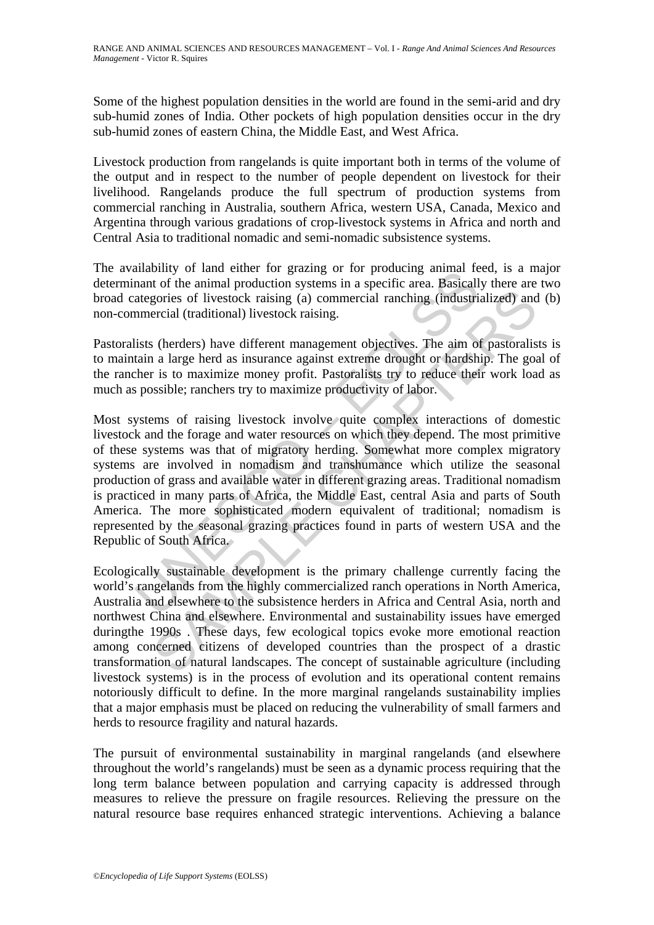Some of the highest population densities in the world are found in the semi-arid and dry sub-humid zones of India. Other pockets of high population densities occur in the dry sub-humid zones of eastern China, the Middle East, and West Africa.

Livestock production from rangelands is quite important both in terms of the volume of the output and in respect to the number of people dependent on livestock for their livelihood. Rangelands produce the full spectrum of production systems from commercial ranching in Australia, southern Africa, western USA, Canada, Mexico and Argentina through various gradations of crop-livestock systems in Africa and north and Central Asia to traditional nomadic and semi-nomadic subsistence systems.

The availability of land either for grazing or for producing animal feed, is a major determinant of the animal production systems in a specific area. Basically there are two broad categories of livestock raising (a) commercial ranching (industrialized) and (b) non-commercial (traditional) livestock raising.

Pastoralists (herders) have different management objectives. The aim of pastoralists is to maintain a large herd as insurance against extreme drought or hardship. The goal of the rancher is to maximize money profit. Pastoralists try to reduce their work load as much as possible; ranchers try to maximize productivity of labor.

manniny of tall enter for grazing of the primaring animat<br>mant of the animal production systems in a specific area. Basicall<br>ategories of livestock raising (a) commercial ranching (industri<br>mercial (traditional) livestock gories of livestock raising (a) commercial ranching (industrialized) and<br>ercial (traditional) livestock raising.<br>
(herders) have different management objectives. The aim of pastoralis<br>
a large herd as insurance against ext Most systems of raising livestock involve quite complex interactions of domestic livestock and the forage and water resources on which they depend. The most primitive of these systems was that of migratory herding. Somewhat more complex migratory systems are involved in nomadism and transhumance which utilize the seasonal production of grass and available water in different grazing areas. Traditional nomadism is practiced in many parts of Africa, the Middle East, central Asia and parts of South America. The more sophisticated modern equivalent of traditional; nomadism is represented by the seasonal grazing practices found in parts of western USA and the Republic of South Africa.

Ecologically sustainable development is the primary challenge currently facing the world's rangelands from the highly commercialized ranch operations in North America, Australia and elsewhere to the subsistence herders in Africa and Central Asia, north and northwest China and elsewhere. Environmental and sustainability issues have emerged duringthe 1990s . These days, few ecological topics evoke more emotional reaction among concerned citizens of developed countries than the prospect of a drastic transformation of natural landscapes. The concept of sustainable agriculture (including livestock systems) is in the process of evolution and its operational content remains notoriously difficult to define. In the more marginal rangelands sustainability implies that a major emphasis must be placed on reducing the vulnerability of small farmers and herds to resource fragility and natural hazards.

The pursuit of environmental sustainability in marginal rangelands (and elsewhere throughout the world's rangelands) must be seen as a dynamic process requiring that the long term balance between population and carrying capacity is addressed through measures to relieve the pressure on fragile resources. Relieving the pressure on the natural resource base requires enhanced strategic interventions. Achieving a balance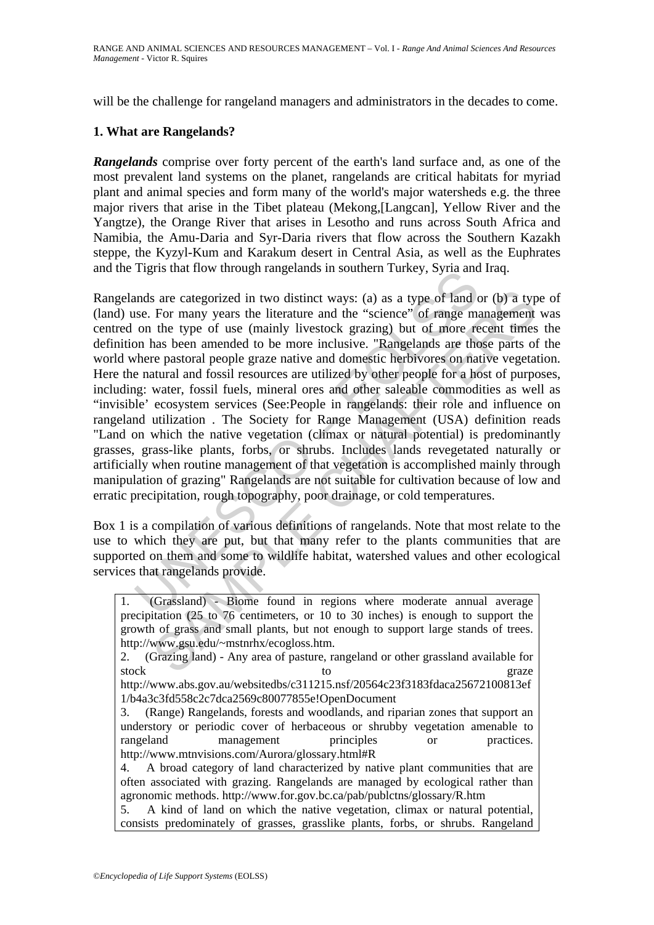will be the challenge for rangeland managers and administrators in the decades to come.

### **1. What are Rangelands?**

*Rangelands* comprise over forty percent of the earth's land surface and, as one of the most prevalent land systems on the planet, rangelands are critical habitats for myriad plant and animal species and form many of the world's major watersheds e.g. the three major rivers that arise in the Tibet plateau (Mekong,[Langcan], Yellow River and the Yangtze), the Orange River that arises in Lesotho and runs across South Africa and Namibia, the Amu-Daria and Syr-Daria rivers that flow across the Southern Kazakh steppe, the Kyzyl-Kum and Karakum desert in Central Asia, as well as the Euphrates and the Tigris that flow through rangelands in southern Turkey, Syria and Iraq.

Trights that how unough rangemants in southern Turkey, syna and<br>these. For many years the literature and the "science" of range ma<br>on the type of use (mainly livestock grazing) but of more re<br>on thas been amended to be mor s are categorized in two distinct ways: (a) as a type of land or (b) a typ<br>For many years the literature and the "science" of range management<br>the type of use (mainly livestock grazing) but of more recent times<br>the spear a Rangelands are categorized in two distinct ways: (a) as a type of land or (b) a type of (land) use. For many years the literature and the "science" of range management was centred on the type of use (mainly livestock grazing) but of more recent times the definition has been amended to be more inclusive. "Rangelands are those parts of the world where pastoral people graze native and domestic herbivores on native vegetation. Here the natural and fossil resources are utilized by other people for a host of purposes, including: water, fossil fuels, mineral ores and other saleable commodities as well as "invisible' ecosystem services (See:People in rangelands: their role and influence on rangeland utilization . The Society for Range Management (USA) definition reads "Land on which the native vegetation (climax or natural potential) is predominantly grasses, grass-like plants, forbs, or shrubs. Includes lands revegetated naturally or artificially when routine management of that vegetation is accomplished mainly through manipulation of grazing" Rangelands are not suitable for cultivation because of low and erratic precipitation, rough topography, poor drainage, or cold temperatures.

Box 1 is a compilation of various definitions of rangelands. Note that most relate to the use to which they are put, but that many refer to the plants communities that are supported on them and some to wildlife habitat, watershed values and other ecological services that rangelands provide.

| 1. (Grassland) - Biome found in regions where moderate annual average               |
|-------------------------------------------------------------------------------------|
| precipitation (25 to 76 centimeters, or 10 to 30 inches) is enough to support the   |
| growth of grass and small plants, but not enough to support large stands of trees.  |
| http://www.gsu.edu/~mstnrhx/ecogloss.htm.                                           |
| 2. (Grazing land) - Any area of pasture, rangeland or other grassland available for |
| stock<br>graze<br>tο                                                                |
| http://www.abs.gov.au/websitedbs/c311215.nsf/20564c23f3183fdaca25672100813ef        |
| 1/b4a3c3fd558c2c7dca2569c80077855e!OpenDocument                                     |
| 3. (Range) Rangelands, forests and woodlands, and riparian zones that support an    |
| understory or periodic cover of herbaceous or shrubby vegetation amenable to        |
| rangeland management<br>principles<br>practices.<br><sub>or</sub>                   |
| http://www.mtnvisions.com/Aurora/glossary.html#R                                    |
| 4. A broad category of land characterized by native plant communities that are      |
| often associated with grazing. Rangelands are managed by ecological rather than     |
| agronomic methods. http://www.for.gov.bc.ca/pab/publctns/glossary/R.htm             |
|                                                                                     |

5. A kind of land on which the native vegetation, climax or natural potential, consists predominately of grasses, grasslike plants, forbs, or shrubs. Rangeland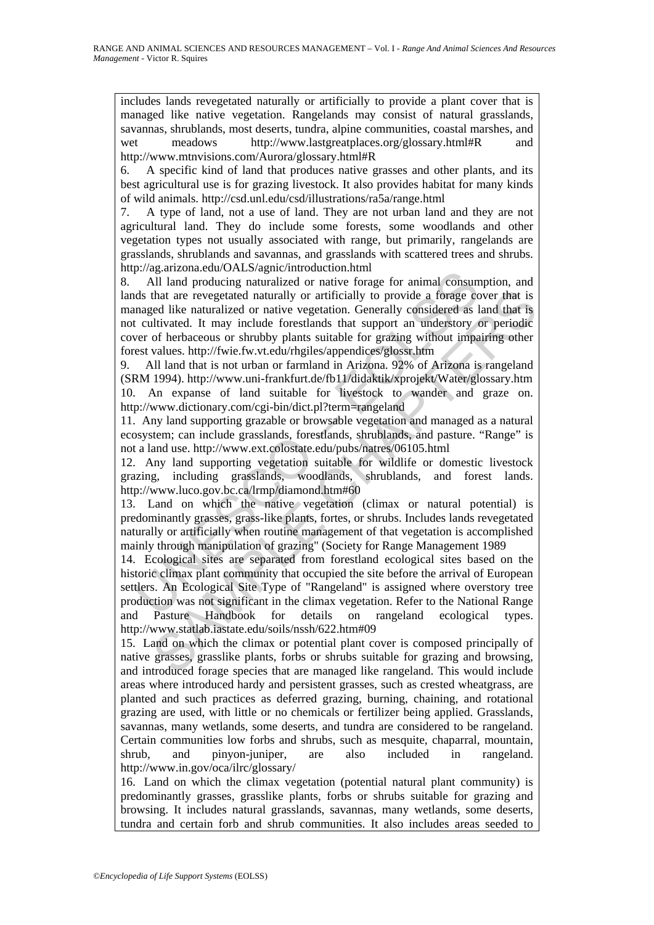includes lands revegetated naturally or artificially to provide a plant cover that is managed like native vegetation. Rangelands may consist of natural grasslands, savannas, shrublands, most deserts, tundra, alpine communities, coastal marshes, and wet meadows http://www.lastgreatplaces.org/glossary.html#R and http://www.mtnvisions.com/Aurora/glossary.html#R

6. A specific kind of land that produces native grasses and other plants, and its best agricultural use is for grazing livestock. It also provides habitat for many kinds of wild animals. http://csd.unl.edu/csd/illustrations/ra5a/range.html

7. A type of land, not a use of land. They are not urban land and they are not agricultural land. They do include some forests, some woodlands and other vegetation types not usually associated with range, but primarily, rangelands are grasslands, shrublands and savannas, and grasslands with scattered trees and shrubs. http://ag.arizona.edu/OALS/agnic/introduction.html

p.//ag.ari/ond.ecta/OAL:syagur/minuduation.ininin<br>All land producing naturalized or native forage for animal consum<br>ds that are revegetated naturally or artificially to provide a forage cor<br>anged like naturalized or native 8. All land producing naturalized or native forage for animal consumption, and lands that are revegetated naturally or artificially to provide a forage cover that is managed like naturalized or native vegetation. Generally considered as land that is not cultivated. It may include forestlands that support an understory or periodic cover of herbaceous or shrubby plants suitable for grazing without impairing other forest values. http://fwie.fw.vt.edu/rhgiles/appendices/glossr.htm

9. All land that is not urban or farmland in Arizona. 92% of Arizona is rangeland (SRM 1994). http://www.uni-frankfurt.de/fb11/didaktik/xprojekt/Water/glossary.htm 10. An expanse of land suitable for livestock to wander and graze on. http://www.dictionary.com/cgi-bin/dict.pl?term=rangeland

11. Any land supporting grazable or browsable vegetation and managed as a natural ecosystem; can include grasslands, forestlands, shrublands, and pasture. "Range" is not a land use. http://www.ext.colostate.edu/pubs/natres/06105.html

12. Any land supporting vegetation suitable for wildlife or domestic livestock grazing, including grasslands, woodlands, shrublands, and forest lands. http://www.luco.gov.bc.ca/lrmp/diamond.htm#60

13. Land on which the native vegetation (climax or natural potential) is predominantly grasses, grass-like plants, fortes, or shrubs. Includes lands revegetated naturally or artificially when routine management of that vegetation is accomplished mainly through manipulation of grazing" (Society for Range Management 1989

that are revegetated naturally or artificially to provide a forage cover that is<br>ned this naturalized on rative vegetation. Generally considered as land that is<br>ultivated. It may inculate forestlands that support an unders 14. Ecological sites are separated from forestland ecological sites based on the historic climax plant community that occupied the site before the arrival of European settlers. An Ecological Site Type of "Rangeland" is assigned where overstory tree production was not significant in the climax vegetation. Refer to the National Range and Pasture Handbook for details on rangeland ecological types. http://www.statlab.iastate.edu/soils/nssh/622.htm#09

15. Land on which the climax or potential plant cover is composed principally of native grasses, grasslike plants, forbs or shrubs suitable for grazing and browsing, and introduced forage species that are managed like rangeland. This would include areas where introduced hardy and persistent grasses, such as crested wheatgrass, are planted and such practices as deferred grazing, burning, chaining, and rotational grazing are used, with little or no chemicals or fertilizer being applied. Grasslands, savannas, many wetlands, some deserts, and tundra are considered to be rangeland. Certain communities low forbs and shrubs, such as mesquite, chaparral, mountain, shrub. and pinyon-juniper. are also included in rangeland shrub, and pinyon-juniper, are also included in rangeland. http://www.in.gov/oca/ilrc/glossary/

16. Land on which the climax vegetation (potential natural plant community) is predominantly grasses, grasslike plants, forbs or shrubs suitable for grazing and browsing. It includes natural grasslands, savannas, many wetlands, some deserts, tundra and certain forb and shrub communities. It also includes areas seeded to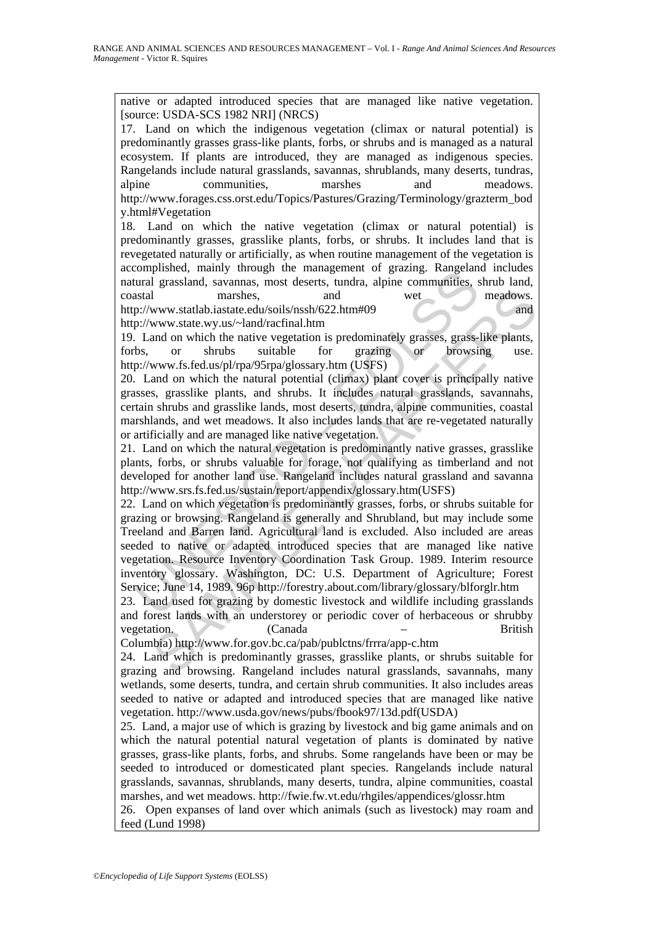native or adapted introduced species that are managed like native vegetation. [source: USDA-SCS 1982 NRI] (NRCS)

17. Land on which the indigenous vegetation (climax or natural potential) is predominantly grasses grass-like plants, forbs, or shrubs and is managed as a natural ecosystem. If plants are introduced, they are managed as indigenous species. Rangelands include natural grasslands, savannas, shrublands, many deserts, tundras, alpine communities, marshes and meadows. http://www.forages.css.orst.edu/Topics/Pastures/Grazing/Terminology/grazterm\_bod y.html#Vegetation

18. Land on which the native vegetation (climax or natural potential) is predominantly grasses, grasslike plants, forbs, or shrubs. It includes land that is revegetated naturally or artificially, as when routine management of the vegetation is accomplished, mainly through the management of grazing. Rangeland includes natural grassland, savannas, most deserts, tundra, alpine communities, shrub land, coastal marshes, and wet meadows. http://www.statlab.iastate.edu/soils/nssh/622.htm#09 and http://www.state.wy.us/~land/racfinal.htm

19. Land on which the native vegetation is predominately grasses, grass-like plants, forbs, or shrubs suitable for grazing or browsing use. http://www.fs.fed.us/pl/rpa/95rpa/glossary.htm (USFS)

20. Land on which the natural potential (climax) plant cover is principally native grasses, grasslike plants, and shrubs. It includes natural grasslands, savannahs, certain shrubs and grasslike lands, most deserts, tundra, alpine communities, coastal marshlands, and wet meadows. It also includes lands that are re-vegetated naturally or artificially and are managed like native vegetation.

21. Land on which the natural vegetation is predominantly native grasses, grasslike plants, forbs, or shrubs valuable for forage, not qualifying as timberland and not developed for another land use. Rangeland includes natural grassland and savanna http://www.srs.fs.fed.us/sustain/report/appendix/glossary.htm(USFS)

Compission, than y unough the management or grazing camely<br>compission, the many through the communities, stard<br>and grassland, savannas, most deserts, tundra, alpine communities, s<br>stal<br>marshes, and wet<br>p://www.state.outib. marshes, and wet meadows.<br>
www.statlab.iastate.edu/soils/nssh/622.htm#09 www.statlab.iastate.edu/soils/nssh/622.htm#09 www.state.wy.us/~land/racfinal.htm<br>
and on which the native vegetation is predominately grasses, grass-22. Land on which vegetation is predominantly grasses, forbs, or shrubs suitable for grazing or browsing. Rangeland is generally and Shrubland, but may include some Treeland and Barren land. Agricultural land is excluded. Also included are areas seeded to native or adapted introduced species that are managed like native vegetation. Resource Inventory Coordination Task Group. 1989. Interim resource inventory glossary. Washington, DC: U.S. Department of Agriculture; Forest Service; June 14, 1989. 96p http://forestry.about.com/library/glossary/blforglr.htm

23. Land used for grazing by domestic livestock and wildlife including grasslands and forest lands with an understorey or periodic cover of herbaceous or shrubby vegetation. (Canada – British

Columbia) http://www.for.gov.bc.ca/pab/publctns/frrra/app-c.htm

24. Land which is predominantly grasses, grasslike plants, or shrubs suitable for grazing and browsing. Rangeland includes natural grasslands, savannahs, many wetlands, some deserts, tundra, and certain shrub communities. It also includes areas seeded to native or adapted and introduced species that are managed like native vegetation. http://www.usda.gov/news/pubs/fbook97/13d.pdf(USDA)

25. Land, a major use of which is grazing by livestock and big game animals and on which the natural potential natural vegetation of plants is dominated by native grasses, grass-like plants, forbs, and shrubs. Some rangelands have been or may be seeded to introduced or domesticated plant species. Rangelands include natural grasslands, savannas, shrublands, many deserts, tundra, alpine communities, coastal marshes, and wet meadows. http://fwie.fw.vt.edu/rhgiles/appendices/glossr.htm

26. Open expanses of land over which animals (such as livestock) may roam and feed (Lund 1998)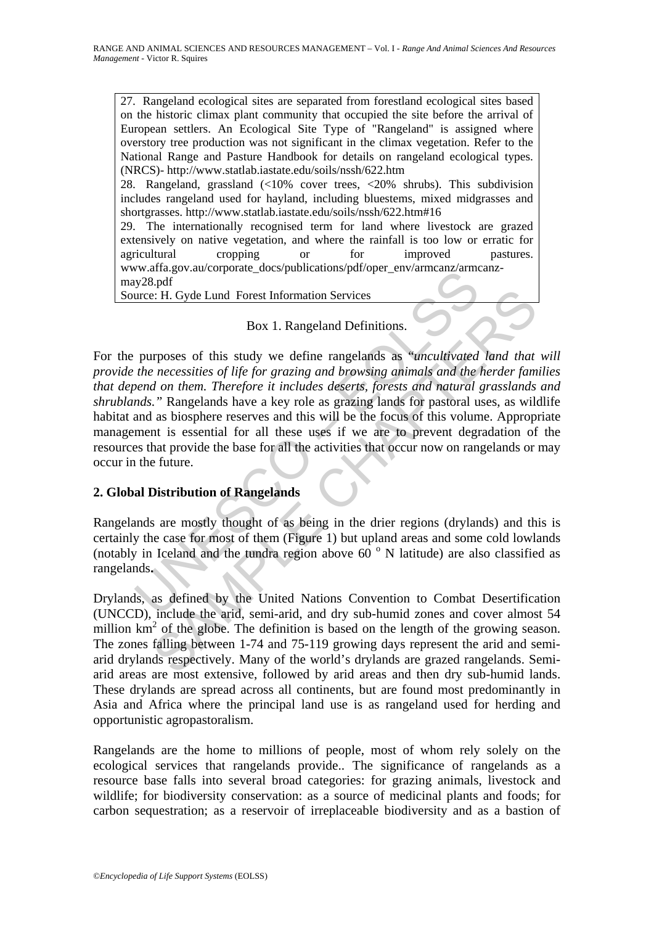27. Rangeland ecological sites are separated from forestland ecological sites based on the historic climax plant community that occupied the site before the arrival of European settlers. An Ecological Site Type of "Rangeland" is assigned where overstory tree production was not significant in the climax vegetation. Refer to the National Range and Pasture Handbook for details on rangeland ecological types. (NRCS)- http://www.statlab.iastate.edu/soils/nssh/622.htm 28. Rangeland, grassland (<10% cover trees, <20% shrubs). This subdivision includes rangeland used for hayland, including bluestems, mixed midgrasses and shortgrasses. http://www.statlab.iastate.edu/soils/nssh/622.htm#16 29. The internationally recognised term for land where livestock are grazed extensively on native vegetation, and where the rainfall is too low or erratic for agricultural cropping or for improved pastures. www.affa.gov.au/corporate\_docs/publications/pdf/oper\_env/armcanz/armcanz-

may28.pdf

Source: H. Gyde Lund Forest Information Services

Box 1. Rangeland Definitions.

W. All algo and controlled the arid semi-arid and the tunder of the United Rangeland Convention Services<br>
Box 1. Rangeland Definitions.<br>
purposes of this study we define rangelands as "*uncultivated*<br>
the necessities of l **EXACT EXECUTE THE CONSTRANT SET AND SET AND SET AND SET AND SURVEY THAND SURVEY (FIGURE 10 THAPTERS OF this study we define rangelands as "uncultivated land that** *necessities of life for gracing and browsing animals and* For the purposes of this study we define rangelands as "*uncultivated land that will provide the necessities of life for grazing and browsing animals and the herder families that depend on them. Therefore it includes deserts, forests and natural grasslands and shrublands."* Rangelands have a key role as grazing lands for pastoral uses, as wildlife habitat and as biosphere reserves and this will be the focus of this volume. Appropriate management is essential for all these uses if we are to prevent degradation of the resources that provide the base for all the activities that occur now on rangelands or may occur in the future.

## **2. Global Distribution of Rangelands**

Rangelands are mostly thought of as being in the drier regions (drylands) and this is certainly the case for most of them (Figure 1) but upland areas and some cold lowlands (notably in Iceland and the tundra region above  $60^\circ$  N latitude) are also classified as rangelands**.** 

Drylands, as defined by the United Nations Convention to Combat Desertification (UNCCD), include the arid, semi-arid, and dry sub-humid zones and cover almost 54 million  $km^2$  of the globe. The definition is based on the length of the growing season. The zones falling between 1-74 and 75-119 growing days represent the arid and semiarid drylands respectively. Many of the world's drylands are grazed rangelands. Semiarid areas are most extensive, followed by arid areas and then dry sub-humid lands. These drylands are spread across all continents, but are found most predominantly in Asia and Africa where the principal land use is as rangeland used for herding and opportunistic agropastoralism.

Rangelands are the home to millions of people, most of whom rely solely on the ecological services that rangelands provide.. The significance of rangelands as a resource base falls into several broad categories: for grazing animals, livestock and wildlife; for biodiversity conservation: as a source of medicinal plants and foods; for carbon sequestration; as a reservoir of irreplaceable biodiversity and as a bastion of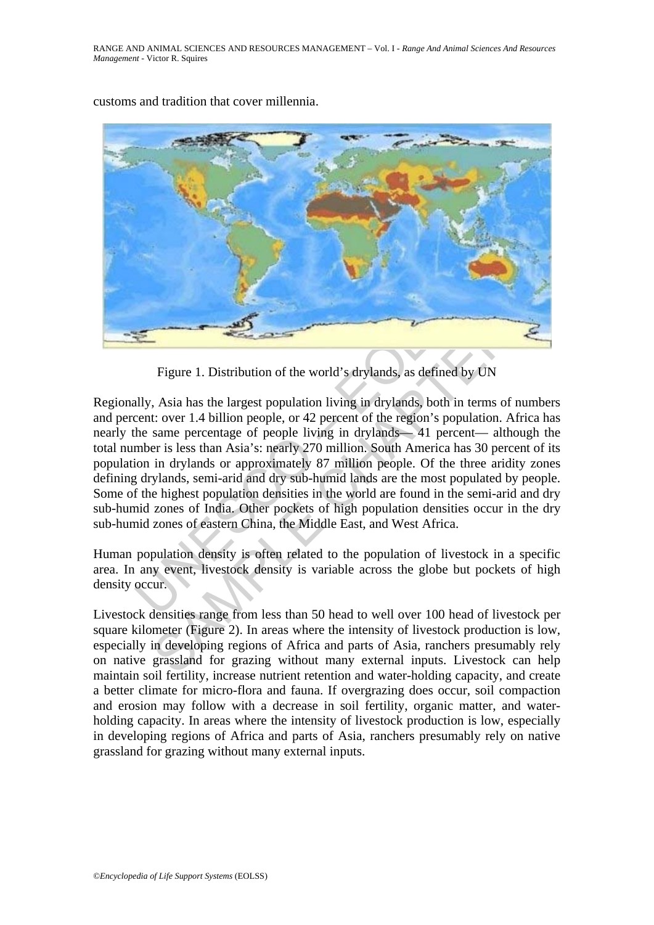

customs and tradition that cover millennia.

Figure 1. Distribution of the world's drylands, as defined by UN

Figure 1. Distribution of the world's drylands, as defined by I<br>
Highly, Asia has the largest population living in drylands, both in ter<br>
cent: over 1.4 billion people, or 42 percent of the region's populat<br>
the same perce Figure 1. Distribution of the world's drylands, as defined by UN<br>
Figure 1. Distribution of the world's drylands, as defined by UN<br>
t: over 1.4 billion people, or 42 percent of the region's population. Africa<br>
same percent Regionally, Asia has the largest population living in drylands, both in terms of numbers and percent: over 1.4 billion people, or 42 percent of the region's population. Africa has nearly the same percentage of people living in drylands— 41 percent— although the total number is less than Asia's: nearly 270 million. South America has 30 percent of its population in drylands or approximately 87 million people. Of the three aridity zones defining drylands, semi-arid and dry sub-humid lands are the most populated by people. Some of the highest population densities in the world are found in the semi-arid and dry sub-humid zones of India. Other pockets of high population densities occur in the dry sub-humid zones of eastern China, the Middle East, and West Africa.

Human population density is often related to the population of livestock in a specific area. In any event, livestock density is variable across the globe but pockets of high density occur.

Livestock densities range from less than 50 head to well over 100 head of livestock per square kilometer (Figure 2). In areas where the intensity of livestock production is low, especially in developing regions of Africa and parts of Asia, ranchers presumably rely on native grassland for grazing without many external inputs. Livestock can help maintain soil fertility, increase nutrient retention and water-holding capacity, and create a better climate for micro-flora and fauna. If overgrazing does occur, soil compaction and erosion may follow with a decrease in soil fertility, organic matter, and waterholding capacity. In areas where the intensity of livestock production is low, especially in developing regions of Africa and parts of Asia, ranchers presumably rely on native grassland for grazing without many external inputs.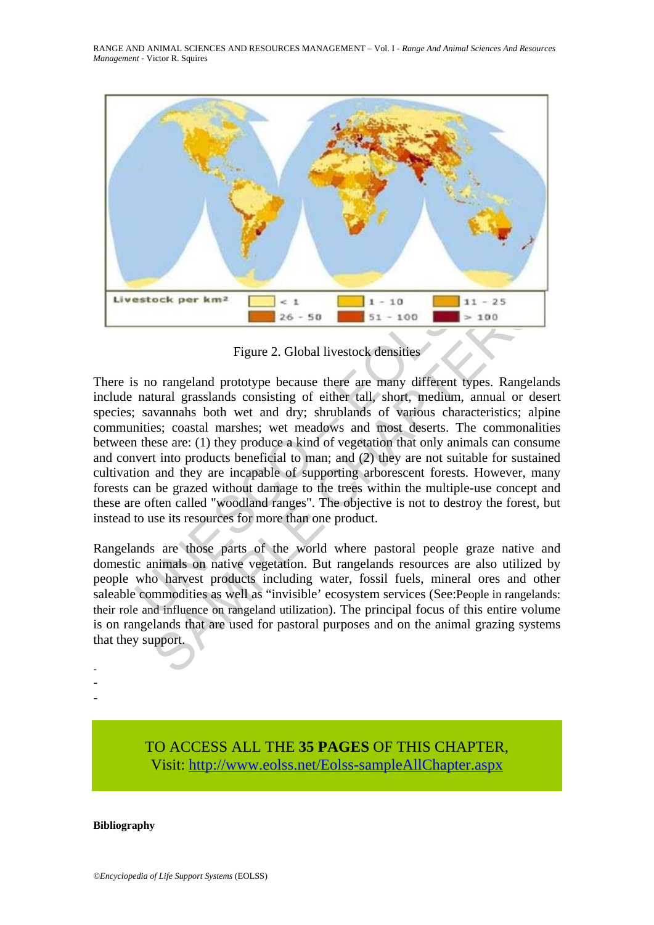RANGE AND ANIMAL SCIENCES AND RESOURCES MANAGEMENT – Vol. I - *Range And Animal Sciences And Resources Management* - Victor R. Squires



Figure 2. Global livestock densities

**Example 18 and 19 and 19 and 19 and 19 and 19 and 19 and 19 and 19 and 19 and 19 and 19 and 19 and 19 and 19 and 19 and 19 and 19 and 19 and 19 and 19 and 19 and 19 and 19 and 19 and 19 and 19 and 19 and 19 and 19 and 19 SOOK PET KINCE 15** 1 = 10<br>
26 - 50<br>
51 - 100<br>
51 - 100<br>
51 - 100<br>
51 - 100<br>
51 - 100<br>
51 - 100<br>
51 - 100<br>
51 - 100<br>
51 - 100<br>
51 - 100<br>
51 - 100<br>
51 - 100<br>
51 - 100<br>
51 - 100<br>
51 - 100<br>
51 - 100<br>
51 - 100<br>
51 - 100<br>
51 -There is no rangeland prototype because there are many different types. Rangelands include natural grasslands consisting of either tall, short, medium, annual or desert species; savannahs both wet and dry; shrublands of various characteristics; alpine communities; coastal marshes; wet meadows and most deserts. The commonalities between these are: (1) they produce a kind of vegetation that only animals can consume and convert into products beneficial to man; and (2) they are not suitable for sustained cultivation and they are incapable of supporting arborescent forests. However, many forests can be grazed without damage to the trees within the multiple-use concept and these are often called "woodland ranges". The objective is not to destroy the forest, but instead to use its resources for more than one product.

Rangelands are those parts of the world where pastoral people graze native and domestic animals on native vegetation. But rangelands resources are also utilized by people who harvest products including water, fossil fuels, mineral ores and other saleable commodities as well as "invisible' ecosystem services (See:People in rangelands: their role and influence on rangeland utilization). The principal focus of this entire volume is on rangelands that are used for pastoral purposes and on the animal grazing systems that they support.

- -

-

TO ACCESS ALL THE **35 PAGES** OF THIS CHAPTER, Visit[: http://www.eolss.net/Eolss-sampleAllChapter.aspx](https://www.eolss.net/ebooklib/sc_cart.aspx?File=E5-35-00-00)

#### **Bibliography**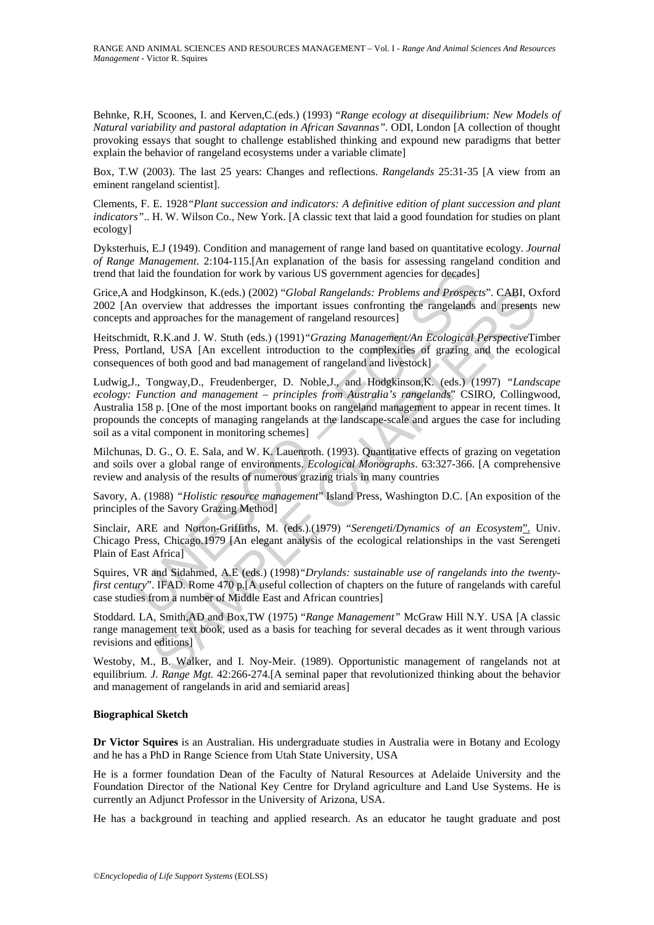Behnke, R.H, Scoones, I. and Kerven,C.(eds.) (1993) "*Range ecology at disequilibrium: New Models of Natural variability and pastoral adaptation in African Savannas".* ODI, London [A collection of thought provoking essays that sought to challenge established thinking and expound new paradigms that better explain the behavior of rangeland ecosystems under a variable climate]

Box, T.W (2003). The last 25 years: Changes and reflections. *Rangelands* 25:31-35 [A view from an eminent rangeland scientist].

Clements, F. E. 1928*"Plant succession and indicators: A definitive edition of plant succession and plant indicators"*.. H. W. Wilson Co., New York. [A classic text that laid a good foundation for studies on plant ecology]

Dyksterhuis, E.J (1949). Condition and management of range land based on quantitative ecology. *Journal of Range Management*. 2:104-115.[An explanation of the basis for assessing rangeland condition and trend that laid the foundation for work by various US government agencies for decades]

Grice,A and Hodgkinson, K.(eds.) (2002) "*Global Rangelands: Problems and Prospects*". CABI, Oxford 2002 [An overview that addresses the important issues confronting the rangelands and presents new concepts and approaches for the management of rangeland resources]

Heitschmidt, R.K.and J. W. Stuth (eds.) (1991)*"Grazing Management/An Ecological Perspective*Timber Press, Portland, USA [An excellent introduction to the complexities of grazing and the ecological consequences of both good and bad management of rangeland and livestock]

laid the foundation for work by various US government agencies for decades]<br>
and Hodgkinson, K.(eds.) (2002) "*Global Rangelands: Problems and Prospect*<br>
and Prospection Archerses the important issues confronting the range Hodgkinson, K.(eds.) (2002) "Global Rangelands: Problems and Prospects". CABI, O:<br>
ererview that addresses the important issues confronting the rangelands and presents<br>
ererview that addresses the important issues confront Ludwig,J., Tongway,D., Freudenberger, D. Noble,J., and Hodgkinson,K. (eds.) (1997) *"Landscape ecology: Function and management – principles from Australia's rangelands*" CSIRO, Collingwood, Australia 158 p. [One of the most important books on rangeland management to appear in recent times. It propounds the concepts of managing rangelands at the landscape-scale and argues the case for including soil as a vital component in monitoring schemes]

Milchunas, D. G., O. E. Sala, and W. K. Lauenroth. (1993). Quantitative effects of grazing on vegetation and soils over a global range of environments. *Ecological Monographs*. 63:327-366. [A comprehensive review and analysis of the results of numerous grazing trials in many countries

Savory, A. (1988) *"Holistic resource management*" Island Press, Washington D.C. [An exposition of the principles of the Savory Grazing Method]

Sinclair, ARE and Norton-Griffiths, M. (eds.).(1979) "Serengeti/Dynamics of an Ecosystem". Univ. Chicago Press, Chicago.1979 [An elegant analysis of the ecological relationships in the vast Serengeti Plain of East Africa]

Squires, VR and Sidahmed, A.E (eds.) (1998)*"Drylands: sustainable use of rangelands into the twentyfirst century*". IFAD. Rome 470 p. [A useful collection of chapters on the future of rangelands with careful case studies from a number of Middle East and African countries]

Stoddard. LA, Smith,AD and Box,TW (1975) "*Range Management"* McGraw Hill N.Y. USA [A classic range management text book, used as a basis for teaching for several decades as it went through various revisions and editions]

Westoby, M., B. Walker, and I. Noy-Meir. (1989). Opportunistic management of rangelands not at equilibrium. *J. Range Mgt.* 42:266-274.[A seminal paper that revolutionized thinking about the behavior and management of rangelands in arid and semiarid areas]

#### **Biographical Sketch**

**Dr Victor Squires** is an Australian. His undergraduate studies in Australia were in Botany and Ecology and he has a PhD in Range Science from Utah State University, USA

He is a former foundation Dean of the Faculty of Natural Resources at Adelaide University and the Foundation Director of the National Key Centre for Dryland agriculture and Land Use Systems. He is currently an Adjunct Professor in the University of Arizona, USA.

He has a background in teaching and applied research. As an educator he taught graduate and post